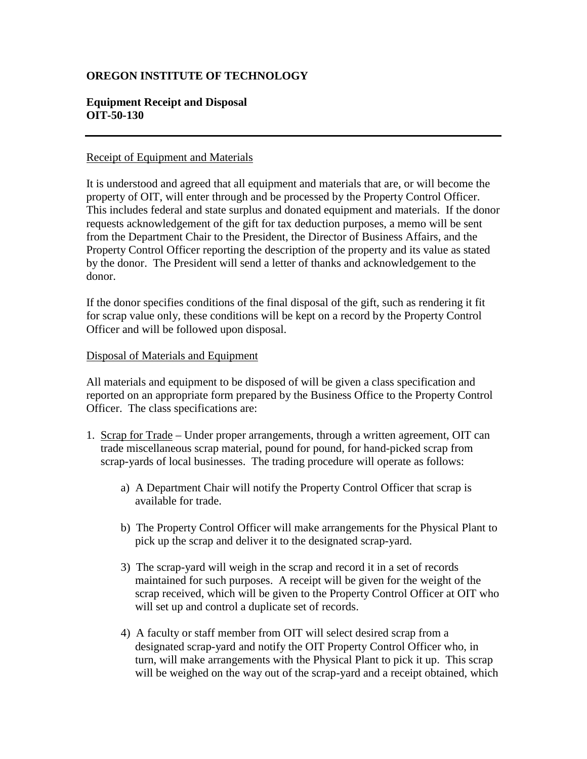## **OREGON INSTITUTE OF TECHNOLOGY**

## **Equipment Receipt and Disposal OIT-50-130**

## Receipt of Equipment and Materials

It is understood and agreed that all equipment and materials that are, or will become the property of OIT, will enter through and be processed by the Property Control Officer. This includes federal and state surplus and donated equipment and materials. If the donor requests acknowledgement of the gift for tax deduction purposes, a memo will be sent from the Department Chair to the President, the Director of Business Affairs, and the Property Control Officer reporting the description of the property and its value as stated by the donor. The President will send a letter of thanks and acknowledgement to the donor.

If the donor specifies conditions of the final disposal of the gift, such as rendering it fit for scrap value only, these conditions will be kept on a record by the Property Control Officer and will be followed upon disposal.

## Disposal of Materials and Equipment

All materials and equipment to be disposed of will be given a class specification and reported on an appropriate form prepared by the Business Office to the Property Control Officer. The class specifications are:

- 1. Scrap for Trade Under proper arrangements, through a written agreement, OIT can trade miscellaneous scrap material, pound for pound, for hand-picked scrap from scrap-yards of local businesses. The trading procedure will operate as follows:
	- a) A Department Chair will notify the Property Control Officer that scrap is available for trade.
	- b) The Property Control Officer will make arrangements for the Physical Plant to pick up the scrap and deliver it to the designated scrap-yard.
	- 3) The scrap-yard will weigh in the scrap and record it in a set of records maintained for such purposes. A receipt will be given for the weight of the scrap received, which will be given to the Property Control Officer at OIT who will set up and control a duplicate set of records.
	- 4) A faculty or staff member from OIT will select desired scrap from a designated scrap-yard and notify the OIT Property Control Officer who, in turn, will make arrangements with the Physical Plant to pick it up. This scrap will be weighed on the way out of the scrap-yard and a receipt obtained, which